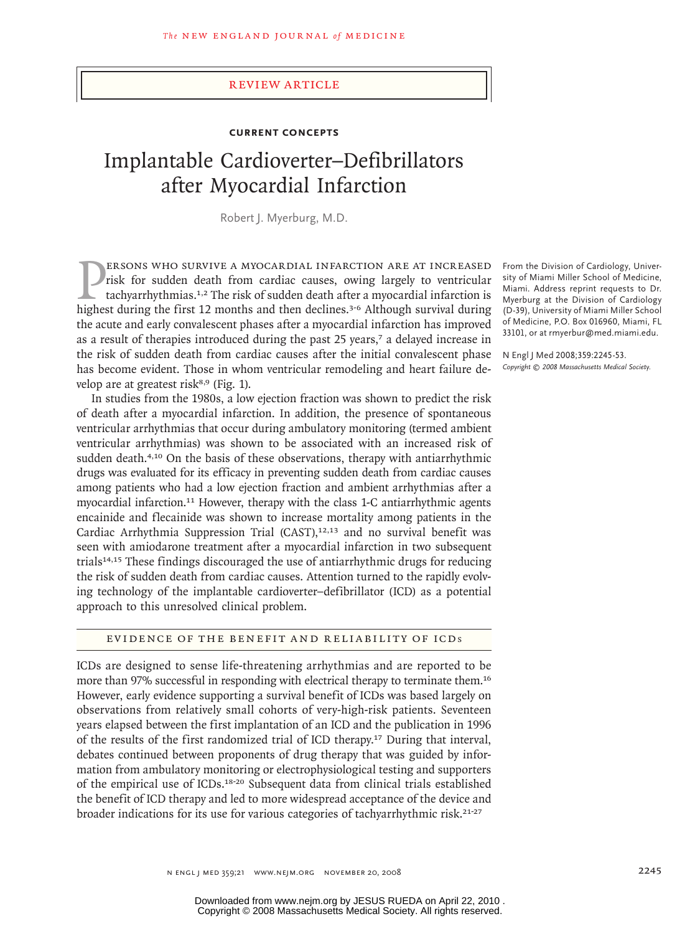#### review article

## **CURRENT CONCEPTS**

# Implantable Cardioverter–Defibrillators after Myocardial Infarction

Robert J. Myerburg, M.D.

**ERSONS WHO SURVIVE A MYOCARDIAL INFARCTION ARE AT INCREASED**<br>risk for sudden death from cardiac causes, owing largely to ventricular<br>tachyarrhythmias.<sup>1,2</sup> The risk of sudden death after a myocardial infarction is<br>highest ersons who survive a myocardial infarction are at increased risk for sudden death from cardiac causes, owing largely to ventricular tachyarrhythmias.1,2 The risk of sudden death after a myocardial infarction is the acute and early convalescent phases after a myocardial infarction has improved as a result of therapies introduced during the past 25 years,7 a delayed increase in the risk of sudden death from cardiac causes after the initial convalescent phase has become evident. Those in whom ventricular remodeling and heart failure develop are at greatest risk $8,9$  (Fig. 1).

In studies from the 1980s, a low ejection fraction was shown to predict the risk of death after a myocardial infarction. In addition, the presence of spontaneous ventricular arrhythmias that occur during ambulatory monitoring (termed ambient ventricular arrhythmias) was shown to be associated with an increased risk of sudden death.<sup>4,10</sup> On the basis of these observations, therapy with antiarrhythmic drugs was evaluated for its efficacy in preventing sudden death from cardiac causes among patients who had a low ejection fraction and ambient arrhythmias after a myocardial infarction.<sup>11</sup> However, therapy with the class 1-C antiarrhythmic agents encainide and flecainide was shown to increase mortality among patients in the Cardiac Arrhythmia Suppression Trial  $(CAST)^{12,13}$  and no survival benefit was seen with amiodarone treatment after a myocardial infarction in two subsequent trials<sup>14,15</sup> These findings discouraged the use of antiarrhythmic drugs for reducing the risk of sudden death from cardiac causes. Attention turned to the rapidly evolving technology of the implantable cardioverter–defibrillator (ICD) as a potential approach to this unresolved clinical problem.

#### Evidence of the Benefit and Reliability of ICDs

ICDs are designed to sense life-threatening arrhythmias and are reported to be more than 97% successful in responding with electrical therapy to terminate them.<sup>16</sup> However, early evidence supporting a survival benefit of ICDs was based largely on observations from relatively small cohorts of very-high-risk patients. Seventeen years elapsed between the first implantation of an ICD and the publication in 1996 of the results of the first randomized trial of ICD therapy.17 During that interval, debates continued between proponents of drug therapy that was guided by information from ambulatory monitoring or electrophysiological testing and supporters of the empirical use of ICDs.18-20 Subsequent data from clinical trials established the benefit of ICD therapy and led to more widespread acceptance of the device and broader indications for its use for various categories of tachyarrhythmic risk.<sup>21-27</sup>

From the Division of Cardiology, University of Miami Miller School of Medicine, Miami. Address reprint requests to Dr. Myerburg at the Division of Cardiology (D-39), University of Miami Miller School of Medicine, P.O. Box 016960, Miami, FL 33101, or at rmyerbur@med.miami.edu.

N Engl J Med 2008;359:2245-53. *Copyright © 2008 Massachusetts Medical Society.*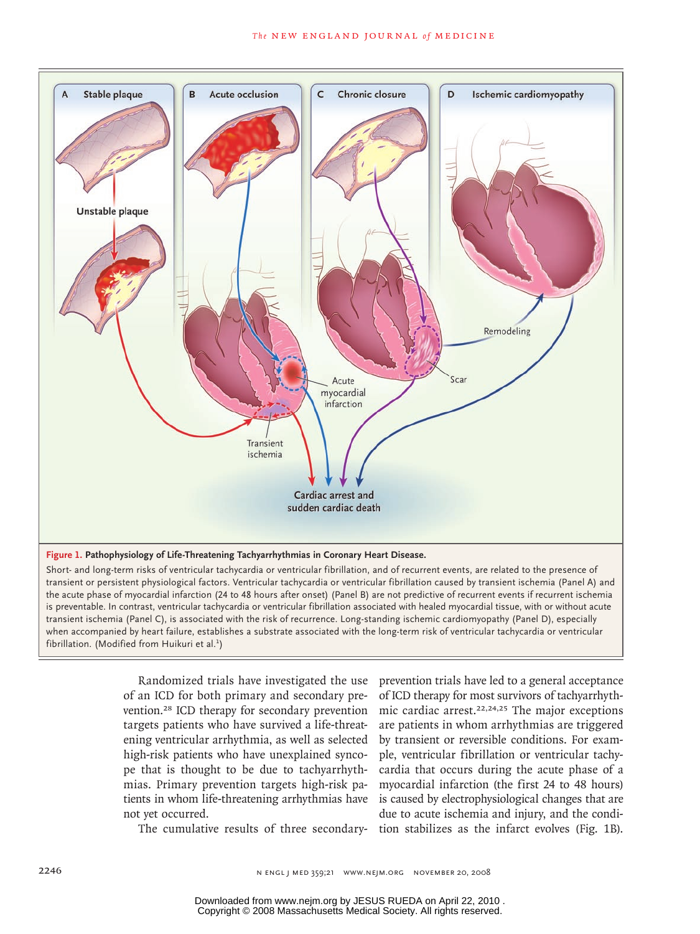

**Figure 1. Pathophysiology of Life-Threatening Tachyarrhythmias in Coronary Heart Disease.**

Short- and long-term risks of ventricular tachycardia or ventricular fibrillation, and of recurrent events, are related to the presence of transient or persistent physiological factors. Ventricular tachycardia or ventricular fibrillation caused by transient ischemia (Panel A) and the acute phase of myocardial infarction (24 to 48 hours after onset) (Panel B) are not predictive of recurrent events if recurrent ischemia is preventable. In contrast, ventricular tachycardia or ventricular fibrillation associated with healed myocardial tissue, with or without acute transient ischemia (Panel C), is associated with the risk of recurrence. Long-standing ischemic cardiomyopathy (Panel D), especially when accompanied by heart failure, establishes a substrate associated with the long-term risk of ventricular tachycardia or ventricular fibrillation. (Modified from Huikuri et al.<sup>1</sup>)

> Randomized trials have investigated the use of an ICD for both primary and secondary prevention.28 ICD therapy for secondary prevention targets patients who have survived a life-threatening ventricular arrhythmia, as well as selected high-risk patients who have unexplained syncope that is thought to be due to tachyarrhythmias. Primary prevention targets high-risk patients in whom life-threatening arrhythmias have not yet occurred.

The cumulative results of three secondary-tion stabilizes as the infarct evolves (Fig. 1B). prevention trials have led to a general acceptance of ICD therapy for most survivors of tachyarrhythmic cardiac arrest.<sup>22,24,25</sup> The major exceptions are patients in whom arrhythmias are triggered by transient or reversible conditions. For example, ventricular fibrillation or ventricular tachycardia that occurs during the acute phase of a myocardial infarction (the first 24 to 48 hours) is caused by electrophysiological changes that are due to acute ischemia and injury, and the condi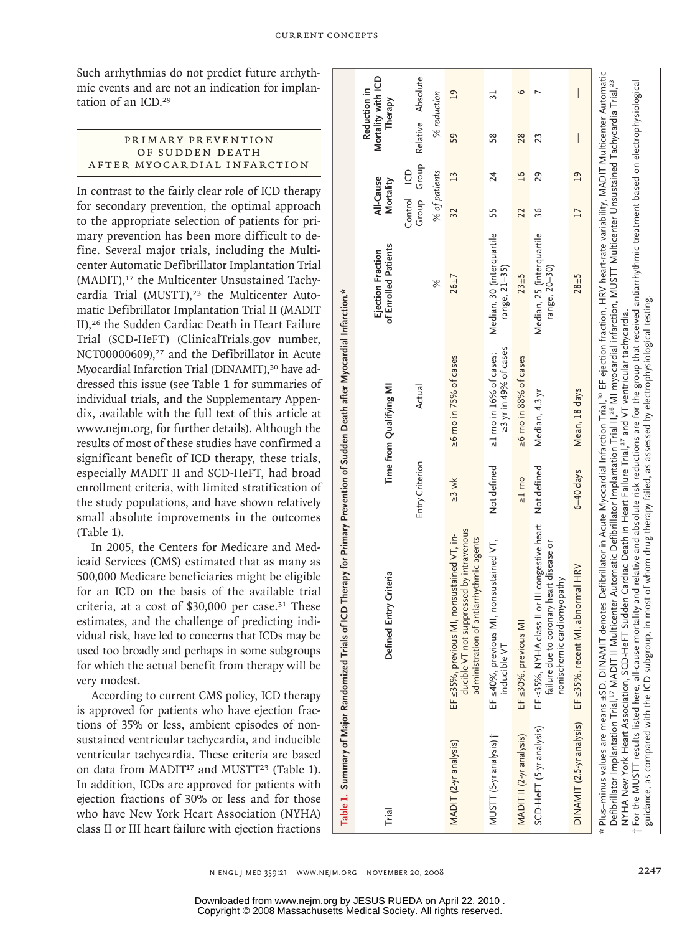Such arrhythmias do not predict future arrhythmic events and are not an indication for implantation of an ICD.<sup>29</sup>

#### PRIMARY PREVENTION OF SUDDEN DEATH after Myocardial Infarction

In contrast to the fairly clear role of ICD therapy for secondary prevention, the optimal approach to the appropriate selection of patients for primary prevention has been more difficult to define. Several major trials, including the Multicenter Automatic Defibrillator Implantation Trial (MADIT),<sup>17</sup> the Multicenter Unsustained Tachycardia Trial (MUSTT),<sup>23</sup> the Multicenter Automatic Defibrillator Implantation Trial II (MADIT II),26 the Sudden Cardiac Death in Heart Failure Trial (SCD-HeFT) (ClinicalTrials.gov number, NCT00000609),<sup>27</sup> and the Defibrillator in Acute Myocardial Infarction Trial (DINAMIT),<sup>30</sup> have addressed this issue (see Table 1 for summaries of individual trials, and the Supplementary Appendix, available with the full text of this article at www.nejm.org, for further details). Although the results of most of these studies have confirmed a significant benefit of ICD therapy, these trials, especially MADIT II and SCD-HeFT, had broad enrollment criteria, with limited stratification of the study populations, and have shown relatively small absolute improvements in the outcomes (Table 1).

In 2005, the Centers for Medicare and Medicaid Services (CMS) estimated that as many as 500,000 Medicare beneficiaries might be eligible for an ICD on the basis of the available trial criteria, at a cost of \$30,000 per case.<sup>31</sup> These estimates, and the challenge of predicting individual risk, have led to concerns that ICDs may be used too broadly and perhaps in some subgroups for which the actual benefit from therapy will be very modest.

According to current CMS policy, ICD therapy is approved for patients who have ejection fractions of 35% or less, ambient episodes of nonsustained ventricular tachycardia, and inducible ventricular tachycardia. These criteria are based on data from MADIT<sup>17</sup> and MUSTT<sup>23</sup> (Table 1). In addition, ICDs are approved for patients with ejection fractions of 30% or less and for those who have New York Heart Association (NYHA) class II or III heart failure with ejection fractions

| Trial                              | Defined Entry Criteria                                                                                                                                                                                                                                                                                                                                                                                                                                                                                                                                                                                                                                                                                                                                                |                 | Time from Qualifying MI                         | of Enrolled Patients<br>Ejection Fraction  | All-Cause<br>Mortality            |    | Mortality with ICD<br>Reduction in<br>Therapy |
|------------------------------------|-----------------------------------------------------------------------------------------------------------------------------------------------------------------------------------------------------------------------------------------------------------------------------------------------------------------------------------------------------------------------------------------------------------------------------------------------------------------------------------------------------------------------------------------------------------------------------------------------------------------------------------------------------------------------------------------------------------------------------------------------------------------------|-----------------|-------------------------------------------------|--------------------------------------------|-----------------------------------|----|-----------------------------------------------|
|                                    |                                                                                                                                                                                                                                                                                                                                                                                                                                                                                                                                                                                                                                                                                                                                                                       | Entry Criterion | Actual                                          |                                            | Group Group<br>Control ICD        |    | Relative Absolute                             |
|                                    |                                                                                                                                                                                                                                                                                                                                                                                                                                                                                                                                                                                                                                                                                                                                                                       |                 |                                                 | $\frac{1}{\sqrt{6}}$                       | $%$ of patients                   |    | % reduction                                   |
| MADIT (2-yr analysis)              | ducible VT not suppressed by intravenous<br>EF ≤35%, previous MI, nonsustained VT, in-<br>administration of antiarrhythmic agents                                                                                                                                                                                                                                                                                                                                                                                                                                                                                                                                                                                                                                     | $\geq$ 3 wk     | ≥6 mo in 75% of cases                           | $26 + 7$                                   | 13<br>32                          | 59 | $\overline{a}$                                |
| MUSTT (5-yr analysis) <sup>+</sup> | EF ≤40%, previous MI, nonsustained VT,<br>inducible VT                                                                                                                                                                                                                                                                                                                                                                                                                                                                                                                                                                                                                                                                                                                | Not defined     | ≥3 yr in 49% of cases<br>21 mo in 16% of cases; | Median, 30 (interquartile<br>range, 21-35) | 24<br>55                          | 58 | 31                                            |
| MADIT II (2-yr analysis)           | EF ≤30%, previous MI                                                                                                                                                                                                                                                                                                                                                                                                                                                                                                                                                                                                                                                                                                                                                  | $\geq 1$ mo     | ≥6 mo in 88% of cases                           | $23 + 5$                                   | $\overline{16}$<br>22             | 28 | 9                                             |
| SCD-HeFT (5-yr analysis)           | EF ≤35%, NYHA class II or III congestive heart<br>failure due to coronary heart disease or<br>nonischemic cardiomyopathy                                                                                                                                                                                                                                                                                                                                                                                                                                                                                                                                                                                                                                              | Not defined     | Median, 4.3 yr                                  | Median, 25 (interquartile<br>range, 20-30) | 29<br>36                          | 23 |                                               |
|                                    | DINAMIT (2.5-yr analysis) EF ≤35%, recent MI, abnormal HRV                                                                                                                                                                                                                                                                                                                                                                                                                                                                                                                                                                                                                                                                                                            | $6-40$ days     | Mean, 18 days                                   | $28 + 5$                                   | $\overline{0}$<br>$\overline{17}$ | I  | I                                             |
|                                    | * Plus-minus values are means ±SD. DINAMIT denotes Defibrillator in Acute Myocardial Infarction Trial, <sup>90</sup> EF ejection fraction, HRV heart-rate variability, MADIT Multicenter Automatic<br>Defibrillator Implantation Trial, <sup>17</sup> MADIT II Multicenter Automatic Defibrillator Implantation Trial II, <sup>26</sup> MI myocardial infarction, MUSTT Multicenter Unsustained Tachycardia Trial, <sup>23</sup><br>t For the MUSTT results listed here, all-cause mortality and relative and absolute risk reductions are for the group that received antiarrhythmic treatment based on electrophysiological<br>NYHA New York Heart Association, SCD-HeFT Sudden Cardiac Death in Heart Failure Trial, <sup>27</sup> and VT ventricular tachycardia. |                 |                                                 |                                            |                                   |    |                                               |

n engl j med 359;21 www.nejm.org november 20, 2008 2247

guidance, as compared with the ICD subgroup, in most of whom drug therapy failed, as assessed by electrophysiological testing.

electrophysiological testing.

Δ

Copyright © 2008 Massachusetts Medical Society. All rights reserved. Downloaded from www.nejm.org by JESUS RUEDA on April 22, 2010 .

Table 1.

**Table 1. Summary of Major Randomized Trials of ICD Therapy for Primary Prevention of Sudden Death after Myocardial Infarction.\***

Summary of Major Randomized Trials of ICD Therapy for Primary Prevention of Sudden Death after Myocardial Infarction."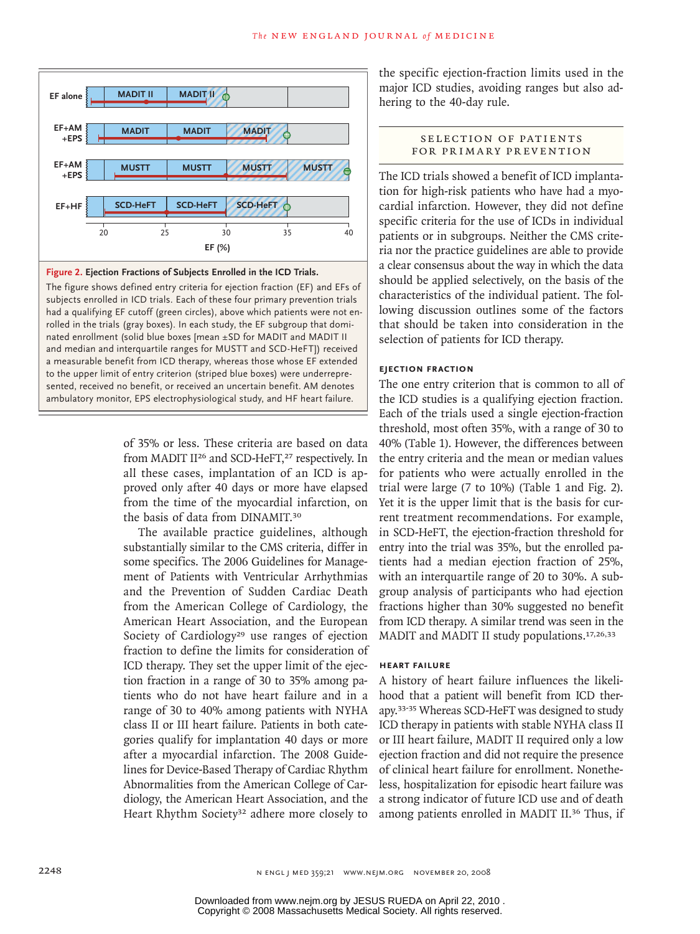

**Figure 2. Ejection Fractions of Subjects Enrolled in the ICD Trials.**

The figure shows defined entry criteria for ejection fraction (EF) and EFs of led in ICD trials. Each of these four primary preven ambulatory monitor, EPS electrophysiological study, and HF heart failure. rolled in the trials (gray boxes). In each study, the EF subgroup that dominated enrollment (solid blue boxes [mean ±SD for MADIT and MADIT II had a qualifying EF cutoff (green circles), above which patients were not enand median and interquartile ranges for MUSTT and SCD-HeFT]) received a measurable benefit from ICD therapy, whereas those whose EF extended a measurable benefit from the andapt, whereas those whose **ET** extended to the upper limit of entry criterion (striped blue boxes) were underrepresubjects enrolled in ICD trials. Each of these four primary prevention trials sented, received no benefit, or received an uncertain benefit. AM denotes

> of 35% or less. These criteria are based on data from MADIT II<sup>26</sup> and SCD-HeFT,<sup>27</sup> respectively. In all these cases, implantation of an ICD is approved only after 40 days or more have elapsed from the time of the myocardial infarction, on the basis of data from DINAMIT.<sup>30</sup>

> The available practice guidelines, although substantially similar to the CMS criteria, differ in some specifics. The 2006 Guidelines for Management of Patients with Ventricular Arrhythmias and the Prevention of Sudden Cardiac Death from the American College of Cardiology, the American Heart Association, and the European Society of Cardiology<sup>29</sup> use ranges of ejection fraction to define the limits for consideration of ICD therapy. They set the upper limit of the ejection fraction in a range of 30 to 35% among patients who do not have heart failure and in a range of 30 to 40% among patients with NYHA class II or III heart failure. Patients in both categories qualify for implantation 40 days or more after a myocardial infarction. The 2008 Guidelines for Device-Based Therapy of Cardiac Rhythm Abnormalities from the American College of Cardiology, the American Heart Association, and the

the specific ejection-fraction limits used in the major ICD studies, avoiding ranges but also adhering to the 40-day rule.

## SELECTION OF PATIENTS for Primary Prevention

The ICD trials showed a benefit of ICD implantation for high-risk patients who have had a myocardial infarction. However, they did not define specific criteria for the use of ICDs in individual patients or in subgroups. Neither the CMS criteria nor the practice guidelines are able to provide a clear consensus about the way in which the data should be applied selectively, on the basis of the characteristics of the individual patient. The following discussion outlines some of the factors that should be taken into consideration in the selection of patients for ICD therapy.

#### **Ejection Fraction**

The one entry criterion that is common to all of the ICD studies is a qualifying ejection fraction. Each of the trials used a single ejection-fraction threshold, most often 35%, with a range of 30 to 40% (Table 1). However, the differences between the entry criteria and the mean or median values for patients who were actually enrolled in the trial were large (7 to 10%) (Table 1 and Fig. 2). Yet it is the upper limit that is the basis for current treatment recommendations. For example, in SCD-HeFT, the ejection-fraction threshold for entry into the trial was 35%, but the enrolled patients had a median ejection fraction of 25%, with an interquartile range of 20 to 30%. A subgroup analysis of participants who had ejection fractions higher than 30% suggested no benefit from ICD therapy. A similar trend was seen in the MADIT and MADIT II study populations.<sup>17,26,33</sup>

#### **Heart Failure**

Heart Rhythm Society<sup>32</sup> adhere more closely to among patients enrolled in MADIT II.<sup>36</sup> Thus, if A history of heart failure influences the likelihood that a patient will benefit from ICD therapy.33-35 Whereas SCD-HeFT was designed to study ICD therapy in patients with stable NYHA class II or III heart failure, MADIT II required only a low ejection fraction and did not require the presence of clinical heart failure for enrollment. Nonetheless, hospitalization for episodic heart failure was a strong indicator of future ICD use and of death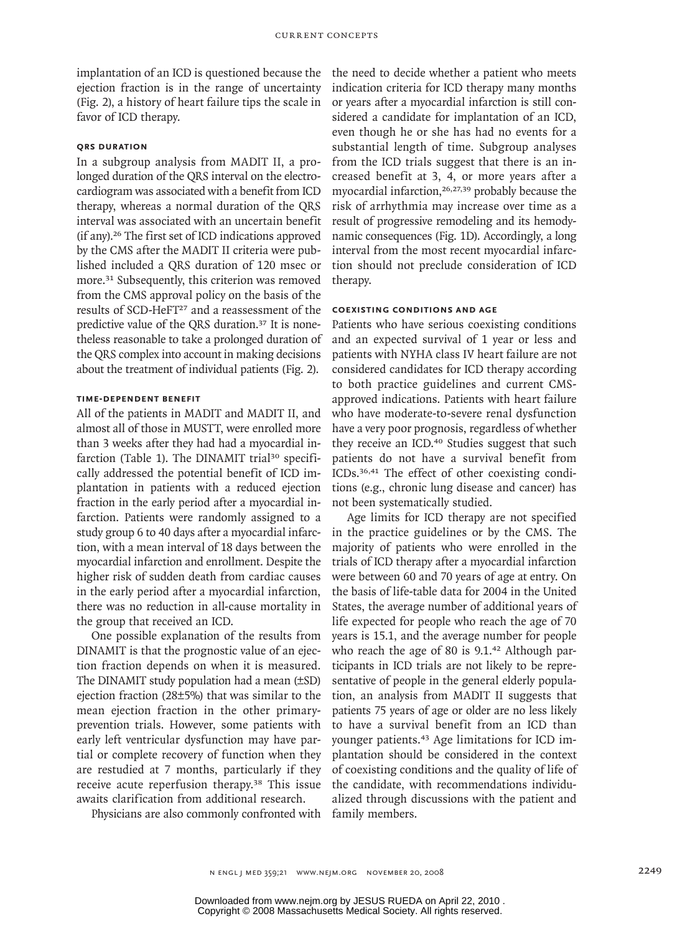implantation of an ICD is questioned because the ejection fraction is in the range of uncertainty (Fig. 2), a history of heart failure tips the scale in favor of ICD therapy.

#### **QRS duration**

In a subgroup analysis from MADIT II, a prolonged duration of the QRS interval on the electrocardiogram was associated with a benefit from ICD therapy, whereas a normal duration of the QRS interval was associated with an uncertain benefit (if any).26 The first set of ICD indications approved by the CMS after the MADIT II criteria were published included a QRS duration of 120 msec or more.<sup>31</sup> Subsequently, this criterion was removed from the CMS approval policy on the basis of the results of SCD-HeFT<sup>27</sup> and a reassessment of the predictive value of the QRS duration.<sup>37</sup> It is nonetheless reasonable to take a prolonged duration of the QRS complex into account in making decisions about the treatment of individual patients (Fig. 2).

#### **Time-Dependent Benefit**

All of the patients in MADIT and MADIT II, and almost all of those in MUSTT, were enrolled more than 3 weeks after they had had a myocardial infarction (Table 1). The DINAMIT trial<sup>30</sup> specifically addressed the potential benefit of ICD implantation in patients with a reduced ejection fraction in the early period after a myocardial infarction. Patients were randomly assigned to a study group 6 to 40 days after a myocardial infarction, with a mean interval of 18 days between the myocardial infarction and enrollment. Despite the higher risk of sudden death from cardiac causes in the early period after a myocardial infarction, there was no reduction in all-cause mortality in the group that received an ICD.

One possible explanation of the results from DINAMIT is that the prognostic value of an ejection fraction depends on when it is measured. The DINAMIT study population had a mean (±SD) ejection fraction (28±5%) that was similar to the mean ejection fraction in the other primaryprevention trials. However, some patients with early left ventricular dysfunction may have partial or complete recovery of function when they are restudied at 7 months, particularly if they receive acute reperfusion therapy.38 This issue awaits clarification from additional research.

Physicians are also commonly confronted with family members.

the need to decide whether a patient who meets indication criteria for ICD therapy many months or years after a myocardial infarction is still considered a candidate for implantation of an ICD, even though he or she has had no events for a substantial length of time. Subgroup analyses from the ICD trials suggest that there is an increased benefit at 3, 4, or more years after a myocardial infarction,26,27,39 probably because the risk of arrhythmia may increase over time as a result of progressive remodeling and its hemodynamic consequences (Fig. 1D). Accordingly, a long interval from the most recent myocardial infarction should not preclude consideration of ICD therapy.

#### **Coexisting Conditions and Age**

Patients who have serious coexisting conditions and an expected survival of 1 year or less and patients with NYHA class IV heart failure are not considered candidates for ICD therapy according to both practice guidelines and current CMSapproved indications. Patients with heart failure who have moderate-to-severe renal dysfunction have a very poor prognosis, regardless of whether they receive an ICD.40 Studies suggest that such patients do not have a survival benefit from ICDs.36,41 The effect of other coexisting conditions (e.g., chronic lung disease and cancer) has not been systematically studied.

Age limits for ICD therapy are not specified in the practice guidelines or by the CMS. The majority of patients who were enrolled in the trials of ICD therapy after a myocardial infarction were between 60 and 70 years of age at entry. On the basis of life-table data for 2004 in the United States, the average number of additional years of life expected for people who reach the age of 70 years is 15.1, and the average number for people who reach the age of 80 is  $9.1<sup>42</sup>$  Although participants in ICD trials are not likely to be representative of people in the general elderly population, an analysis from MADIT II suggests that patients 75 years of age or older are no less likely to have a survival benefit from an ICD than younger patients.43 Age limitations for ICD implantation should be considered in the context of coexisting conditions and the quality of life of the candidate, with recommendations individualized through discussions with the patient and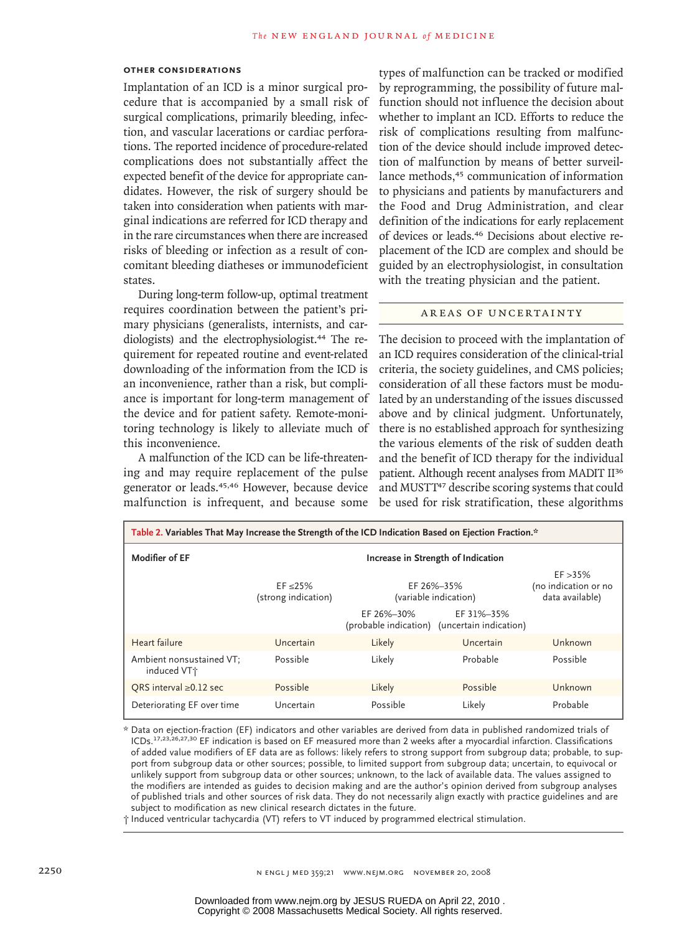#### **Other Considerations**

Implantation of an ICD is a minor surgical procedure that is accompanied by a small risk of surgical complications, primarily bleeding, infection, and vascular lacerations or cardiac perforations. The reported incidence of procedure-related complications does not substantially affect the expected benefit of the device for appropriate candidates. However, the risk of surgery should be taken into consideration when patients with marginal indications are referred for ICD therapy and in the rare circumstances when there are increased risks of bleeding or infection as a result of concomitant bleeding diatheses or immunodeficient states.

During long-term follow-up, optimal treatment requires coordination between the patient's primary physicians (generalists, internists, and cardiologists) and the electrophysiologist.<sup>44</sup> The requirement for repeated routine and event-related downloading of the information from the ICD is an inconvenience, rather than a risk, but compliance is important for long-term management of the device and for patient safety. Remote-monitoring technology is likely to alleviate much of this inconvenience.

A malfunction of the ICD can be life-threatening and may require replacement of the pulse generator or leads.45,46 However, because device malfunction is infrequent, and because some types of malfunction can be tracked or modified by reprogramming, the possibility of future malfunction should not influence the decision about whether to implant an ICD. Efforts to reduce the risk of complications resulting from malfunction of the device should include improved detection of malfunction by means of better surveillance methods,<sup>45</sup> communication of information to physicians and patients by manufacturers and the Food and Drug Administration, and clear definition of the indications for early replacement of devices or leads.46 Decisions about elective replacement of the ICD are complex and should be guided by an electrophysiologist, in consultation with the treating physician and the patient.

# Areas of Uncertainty

The decision to proceed with the implantation of an ICD requires consideration of the clinical-trial criteria, the society guidelines, and CMS policies; consideration of all these factors must be modulated by an understanding of the issues discussed above and by clinical judgment. Unfortunately, there is no established approach for synthesizing the various elements of the risk of sudden death and the benefit of ICD therapy for the individual patient. Although recent analyses from MADIT II<sup>36</sup> and MUSTT<sup>47</sup> describe scoring systems that could be used for risk stratification, these algorithms

| Table 2. Variables That May Increase the Strength of the ICD Indication Based on Ejection Fraction.* |                                      |                                     |                                                            |          |  |  |  |
|------------------------------------------------------------------------------------------------------|--------------------------------------|-------------------------------------|------------------------------------------------------------|----------|--|--|--|
| <b>Modifier of EF</b>                                                                                | Increase in Strength of Indication   |                                     |                                                            |          |  |  |  |
|                                                                                                      | $EF \le 25\%$<br>(strong indication) | EF 26%-35%<br>(variable indication) | EF > 35%<br>(no indication or no<br>data available)        |          |  |  |  |
|                                                                                                      |                                      | EF 26%-30%                          | EF 31%-35%<br>(probable indication) (uncertain indication) |          |  |  |  |
| Heart failure                                                                                        | Uncertain                            | Likely                              | Uncertain                                                  | Unknown  |  |  |  |
| Ambient nonsustained VT;<br>induced VT+                                                              | Possible                             | Likely                              | Probable                                                   | Possible |  |  |  |
| ORS interval ≥0.12 sec                                                                               | Possible                             | Likely                              | Possible                                                   | Unknown  |  |  |  |
| Deteriorating EF over time                                                                           | Uncertain                            | Possible                            | Likely                                                     | Probable |  |  |  |

\* Data on ejection-fraction (EF) indicators and other variables are derived from data in published randomized trials of ICDs.17,23,26,27,30 EF indication is based on EF measured more than 2 weeks after a myocardial infarction. Classifications of added value modifiers of EF data are as follows: likely refers to strong support from subgroup data; probable, to support from subgroup data or other sources; possible, to limited support from subgroup data; uncertain, to equivocal or unlikely support from subgroup data or other sources; unknown, to the lack of available data. The values assigned to the modifiers are intended as guides to decision making and are the author's opinion derived from subgroup analyses of published trials and other sources of risk data. They do not necessarily align exactly with practice guidelines and are subject to modification as new clinical research dictates in the future.

† Induced ventricular tachycardia (VT) refers to VT induced by programmed electrical stimulation.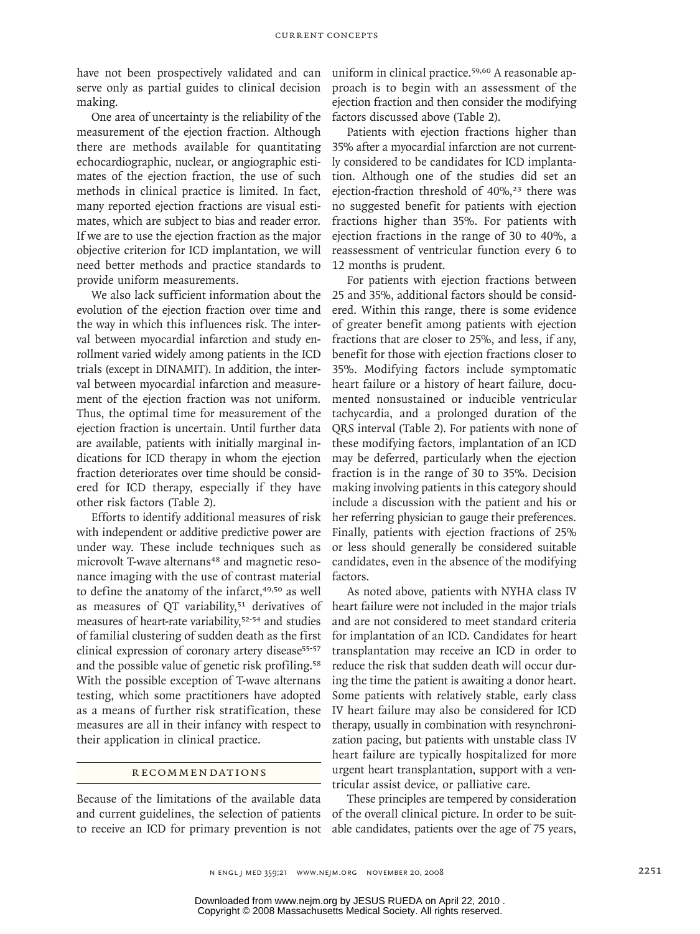have not been prospectively validated and can serve only as partial guides to clinical decision making.

One area of uncertainty is the reliability of the measurement of the ejection fraction. Although there are methods available for quantitating echocardiographic, nuclear, or angiographic estimates of the ejection fraction, the use of such methods in clinical practice is limited. In fact, many reported ejection fractions are visual estimates, which are subject to bias and reader error. If we are to use the ejection fraction as the major objective criterion for ICD implantation, we will need better methods and practice standards to provide uniform measurements.

We also lack sufficient information about the evolution of the ejection fraction over time and the way in which this influences risk. The interval between myocardial infarction and study enrollment varied widely among patients in the ICD trials (except in DINAMIT). In addition, the interval between myocardial infarction and measurement of the ejection fraction was not uniform. Thus, the optimal time for measurement of the ejection fraction is uncertain. Until further data are available, patients with initially marginal indications for ICD therapy in whom the ejection fraction deteriorates over time should be considered for ICD therapy, especially if they have other risk factors (Table 2).

Efforts to identify additional measures of risk with independent or additive predictive power are under way. These include techniques such as microvolt T-wave alternans<sup>48</sup> and magnetic resonance imaging with the use of contrast material to define the anatomy of the infarct,<sup>49,50</sup> as well as measures of QT variability,<sup>51</sup> derivatives of measures of heart-rate variability,<sup>52-54</sup> and studies of familial clustering of sudden death as the first clinical expression of coronary artery disease<sup>55-57</sup> and the possible value of genetic risk profiling.<sup>58</sup> With the possible exception of T-wave alternans testing, which some practitioners have adopted as a means of further risk stratification, these measures are all in their infancy with respect to their application in clinical practice.

#### Recommendations

Because of the limitations of the available data and current guidelines, the selection of patients to receive an ICD for primary prevention is not uniform in clinical practice.59,60 A reasonable approach is to begin with an assessment of the ejection fraction and then consider the modifying factors discussed above (Table 2).

Patients with ejection fractions higher than 35% after a myocardial infarction are not currently considered to be candidates for ICD implantation. Although one of the studies did set an ejection-fraction threshold of 40%,<sup>23</sup> there was no suggested benefit for patients with ejection fractions higher than 35%. For patients with ejection fractions in the range of 30 to 40%, a reassessment of ventricular function every 6 to 12 months is prudent.

For patients with ejection fractions between 25 and 35%, additional factors should be considered. Within this range, there is some evidence of greater benefit among patients with ejection fractions that are closer to 25%, and less, if any, benefit for those with ejection fractions closer to 35%. Modifying factors include symptomatic heart failure or a history of heart failure, documented nonsustained or inducible ventricular tachycardia, and a prolonged duration of the QRS interval (Table 2). For patients with none of these modifying factors, implantation of an ICD may be deferred, particularly when the ejection fraction is in the range of 30 to 35%. Decision making involving patients in this category should include a discussion with the patient and his or her referring physician to gauge their preferences. Finally, patients with ejection fractions of 25% or less should generally be considered suitable candidates, even in the absence of the modifying factors.

As noted above, patients with NYHA class IV heart failure were not included in the major trials and are not considered to meet standard criteria for implantation of an ICD. Candidates for heart transplantation may receive an ICD in order to reduce the risk that sudden death will occur during the time the patient is awaiting a donor heart. Some patients with relatively stable, early class IV heart failure may also be considered for ICD therapy, usually in combination with resynchronization pacing, but patients with unstable class IV heart failure are typically hospitalized for more urgent heart transplantation, support with a ventricular assist device, or palliative care.

These principles are tempered by consideration of the overall clinical picture. In order to be suitable candidates, patients over the age of 75 years,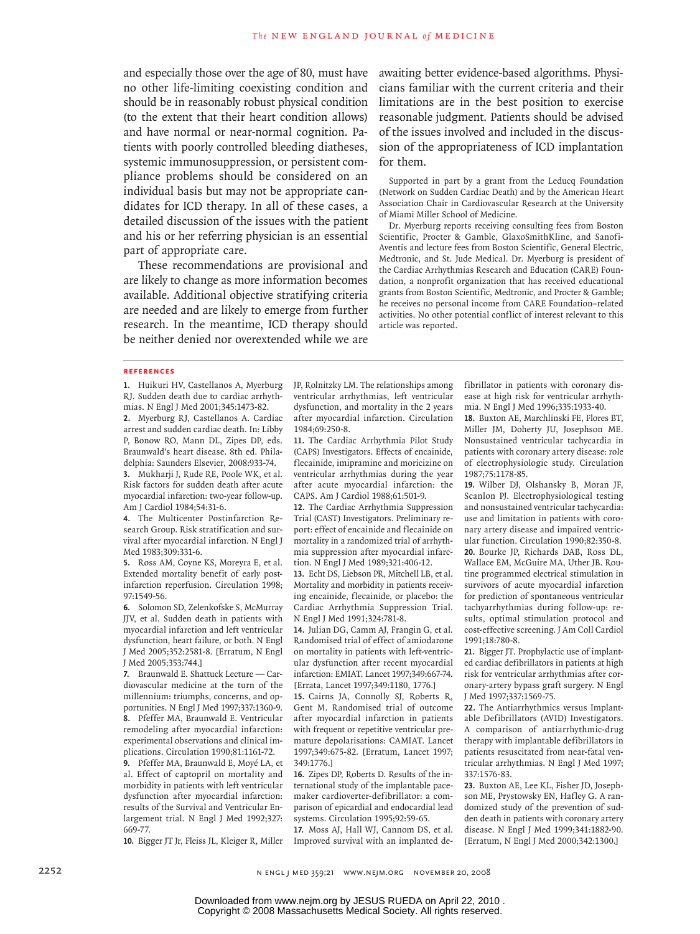and especially those over the age of 80, must have no other life-limiting coexisting condition and should be in reasonably robust physical condition (to the extent that their heart condition allows) and have normal or near-normal cognition. Patients with poorly controlled bleeding diatheses, systemic immunosuppression, or persistent compliance problems should be considered on an individual basis but may not be appropriate candidates for ICD therapy. In all of these cases, a detailed discussion of the issues with the patient and his or her referring physician is an essential part of appropriate care.

These recommendations are provisional and are likely to change as more information becomes available. Additional objective stratifying criteria are needed and are likely to emerge from further research. In the meantime, ICD therapy should be neither denied nor overextended while we are

awaiting better evidence-based algorithms. Physicians familiar with the current criteria and their limitations are in the best position to exercise reasonable judgment. Patients should be advised of the issues involved and included in the discussion of the appropriateness of ICD implantation for them.

Supported in part by a grant from the Leducq Foundation (Network on Sudden Cardiac Death) and by the American Heart Association Chair in Cardiovascular Research at the University of Miami Miller School of Medicine.

Dr. Myerburg reports receiving consulting fees from Boston Scientific, Procter & Gamble, GlaxoSmithKline, and Sanofi-Aventis and lecture fees from Boston Scientific, General Electric, Medtronic, and St. Jude Medical. Dr. Myerburg is president of the Cardiac Arrhythmias Research and Education (CARE) Foundation, a nonprofit organization that has received educational grants from Boston Scientific, Medtronic, and Procter & Gamble; he receives no personal income from CARE Foundation–related activities. No other potential conflict of interest relevant to this article was reported.

#### **References**

**1.** Huikuri HV, Castellanos A, Myerburg RJ. Sudden death due to cardiac arrhythmias. N Engl J Med 2001;345:1473-82.

**2.** Myerburg RJ, Castellanos A. Cardiac arrest and sudden cardiac death. In: Libby P, Bonow RO, Mann DL, Zipes DP, eds. Braunwald's heart disease. 8th ed. Philadelphia: Saunders Elsevier, 2008:933-74. **3.** Mukharji J, Rude RE, Poole WK, et al. Risk factors for sudden death after acute myocardial infarction: two-year follow-up. Am J Cardiol 1984;54:31-6.

**4.** The Multicenter Postinfarction Research Group. Risk stratification and survival after myocardial infarction. N Engl J Med 1983;309:331-6.

**5.** Ross AM, Coyne KS, Moreyra E, et al. Extended mortality benefit of early postinfarction reperfusion. Circulation 1998; 97:1549-56.

**6.** Solomon SD, Zelenkofske S, McMurray JJV, et al. Sudden death in patients with myocardial infarction and left ventricular dysfunction, heart failure, or both. N Engl J Med 2005;352:2581-8. [Erratum, N Engl J Med 2005;353:744.]

**7.** Braunwald E. Shattuck Lecture — Cardiovascular medicine at the turn of the millennium: triumphs, concerns, and opportunities. N Engl J Med 1997;337:1360-9. **8.** Pfeffer MA, Braunwald E. Ventricular remodeling after myocardial infarction: experimental observations and clinical implications. Circulation 1990;81:1161-72.

**9.** Pfeffer MA, Braunwald E, Moyé LA, et al. Effect of captopril on mortality and morbidity in patients with left ventricular dysfunction after myocardial infarction: results of the Survival and Ventricular Enlargement trial. N Engl J Med 1992;327: 669-77.

**10.** Bigger JT Jr, Fleiss JL, Kleiger R, Miller

JP, Rolnitzky LM. The relationships among ventricular arrhythmias, left ventricular dysfunction, and mortality in the 2 years after myocardial infarction. Circulation 1984;69:250-8.

**11.** The Cardiac Arrhythmia Pilot Study (CAPS) Investigators. Effects of encainide, flecainide, imipramine and moricizine on ventricular arrhythmias during the year after acute myocardial infarction: the CAPS. Am J Cardiol 1988;61:501-9.

**12.** The Cardiac Arrhythmia Suppression Trial (CAST) Investigators. Preliminary report: effect of encainide and flecainide on mortality in a randomized trial of arrhythmia suppression after myocardial infarction. N Engl J Med 1989;321:406-12.

**13.** Echt DS, Liebson PR, Mitchell LB, et al. Mortality and morbidity in patients receiving encainide, flecainide, or placebo: the Cardiac Arrhythmia Suppression Trial. N Engl J Med 1991;324:781-8.

**14.** Julian DG, Camm AJ, Frangin G, et al. Randomised trial of effect of amiodarone on mortality in patients with left-ventricular dysfunction after recent myocardial infarction: EMIAT. Lancet 1997;349:667-74. [Errata, Lancet 1997;349:1180, 1776.]

**15.** Cairns JA, Connolly SJ, Roberts R, Gent M. Randomised trial of outcome after myocardial infarction in patients with frequent or repetitive ventricular premature depolarisations: CAMIAT. Lancet 1997;349:675-82. [Erratum, Lancet 1997; 349:1776.]

**16.** Zipes DP, Roberts D. Results of the international study of the implantable pacemaker cardioverter-defibrillator: a comparison of epicardial and endocardial lead systems. Circulation 1995;92:59-65.

**17.** Moss AJ, Hall WJ, Cannom DS, et al. Improved survival with an implanted defibrillator in patients with coronary disease at high risk for ventricular arrhythmia. N Engl J Med 1996;335:1933-40.

**18.** Buxton AE, Marchlinski FE, Flores BT, Miller JM, Doherty JU, Josephson ME. Nonsustained ventricular tachycardia in patients with coronary artery disease: role of electrophysiologic study. Circulation 1987;75:1178-85.

**19.** Wilber DJ, Olshansky B, Moran JF, Scanlon PJ. Electrophysiological testing and nonsustained ventricular tachycardia: use and limitation in patients with coronary artery disease and impaired ventricular function. Circulation 1990;82:350-8. **20.** Bourke JP, Richards DAB, Ross DL, Wallace EM, McGuire MA, Uther JB. Routine programmed electrical stimulation in survivors of acute myocardial infarction for prediction of spontaneous ventricular tachyarrhythmias during follow-up: results, optimal stimulation protocol and cost-effective screening. J Am Coll Cardiol 1991;18:780-8.

**21.** Bigger JT. Prophylactic use of implanted cardiac defibrillators in patients at high risk for ventricular arrhythmias after coronary-artery bypass graft surgery. N Engl J Med 1997;337:1569-75.

**22.** The Antiarrhythmics versus Implantable Defibrillators (AVID) Investigators. A comparison of antiarrhythmic-drug therapy with implantable defibrillators in patients resuscitated from near-fatal ventricular arrhythmias. N Engl J Med 1997; 337:1576-83.

**23.** Buxton AE, Lee KL, Fisher JD, Josephson ME, Prystowsky EN, Hafley G. A randomized study of the prevention of sudden death in patients with coronary artery disease. N Engl J Med 1999;341:1882-90. [Erratum, N Engl J Med 2000;342:1300.]